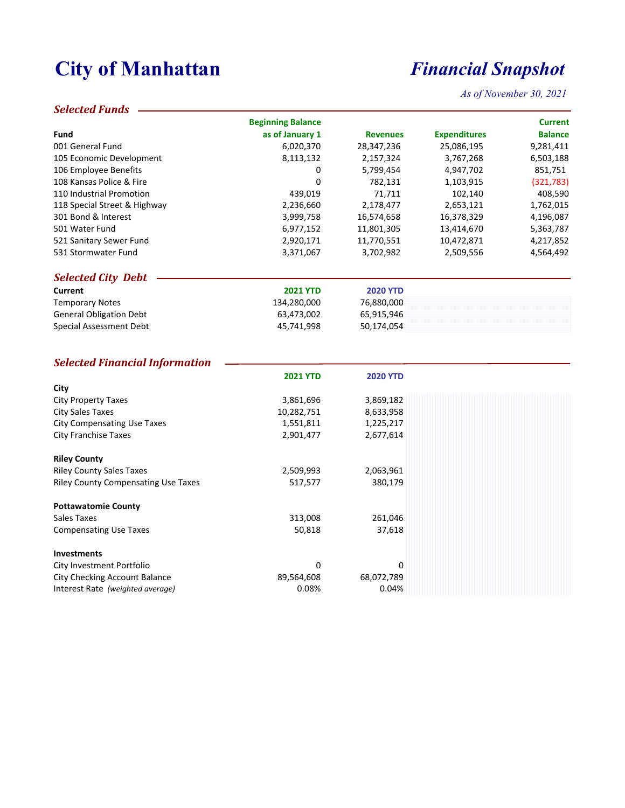# **City of Manhattan** *Financial Snapshot*

*As of November 30, 2021*

#### *Selected Funds*

|                                            | <b>Beginning Balance</b> |                 |                     | <b>Current</b> |
|--------------------------------------------|--------------------------|-----------------|---------------------|----------------|
| Fund                                       | as of January 1          | <b>Revenues</b> | <b>Expenditures</b> | <b>Balance</b> |
| 001 General Fund                           | 6,020,370                | 28,347,236      | 25,086,195          | 9,281,411      |
| 105 Economic Development                   | 8,113,132                | 2,157,324       | 3,767,268           | 6,503,188      |
| 106 Employee Benefits                      | 0                        | 5,799,454       | 4,947,702           | 851,751        |
| 108 Kansas Police & Fire                   | 0                        | 782,131         | 1,103,915           | (321, 783)     |
| 110 Industrial Promotion                   | 439,019                  | 71,711          | 102,140             | 408,590        |
| 118 Special Street & Highway               | 2,236,660                | 2,178,477       | 2,653,121           | 1,762,015      |
| 301 Bond & Interest                        | 3,999,758                | 16,574,658      | 16,378,329          | 4,196,087      |
| 501 Water Fund                             | 6,977,152                | 11,801,305      | 13,414,670          | 5,363,787      |
| 521 Sanitary Sewer Fund                    | 2,920,171                | 11,770,551      | 10,472,871          | 4,217,852      |
| 531 Stormwater Fund                        | 3,371,067                | 3,702,982       | 2,509,556           | 4,564,492      |
| <b>Selected City Debt</b>                  |                          |                 |                     |                |
| Current                                    | <b>2021 YTD</b>          | <b>2020 YTD</b> |                     |                |
| <b>Temporary Notes</b>                     | 134,280,000              | 76,880,000      |                     |                |
| <b>General Obligation Debt</b>             | 63,473,002               | 65,915,946      |                     |                |
| Special Assessment Debt                    | 45,741,998               | 50,174,054      |                     |                |
|                                            |                          |                 |                     |                |
| <b>Selected Financial Information</b>      |                          |                 |                     |                |
|                                            | <b>2021 YTD</b>          | <b>2020 YTD</b> |                     |                |
| City                                       |                          |                 |                     |                |
| <b>City Property Taxes</b>                 | 3,861,696                | 3,869,182       |                     |                |
| <b>City Sales Taxes</b>                    | 10,282,751               | 8,633,958       |                     |                |
| <b>City Compensating Use Taxes</b>         | 1,551,811                | 1,225,217       |                     |                |
| <b>City Franchise Taxes</b>                | 2,901,477                | 2,677,614       |                     |                |
| <b>Riley County</b>                        |                          |                 |                     |                |
| <b>Riley County Sales Taxes</b>            | 2,509,993                | 2,063,961       |                     |                |
| <b>Riley County Compensating Use Taxes</b> | 517,577                  | 380,179         |                     |                |
| <b>Pottawatomie County</b>                 |                          |                 |                     |                |
| Sales Taxes                                | 313,008                  | 261,046         |                     |                |
| <b>Compensating Use Taxes</b>              | 50,818                   | 37,618          |                     |                |
| <b>Investments</b>                         |                          |                 |                     |                |
| City Investment Portfolio                  | 0                        | 0               |                     |                |
| City Checking Account Balance              | 89,564,608               | 68,072,789      |                     |                |

City Checking Account Balance 68,072,789<br>Interest Rate (weighted average) 6.08% 68,072,789<br>0.04% 6.04%

Interest Rate (weighted average)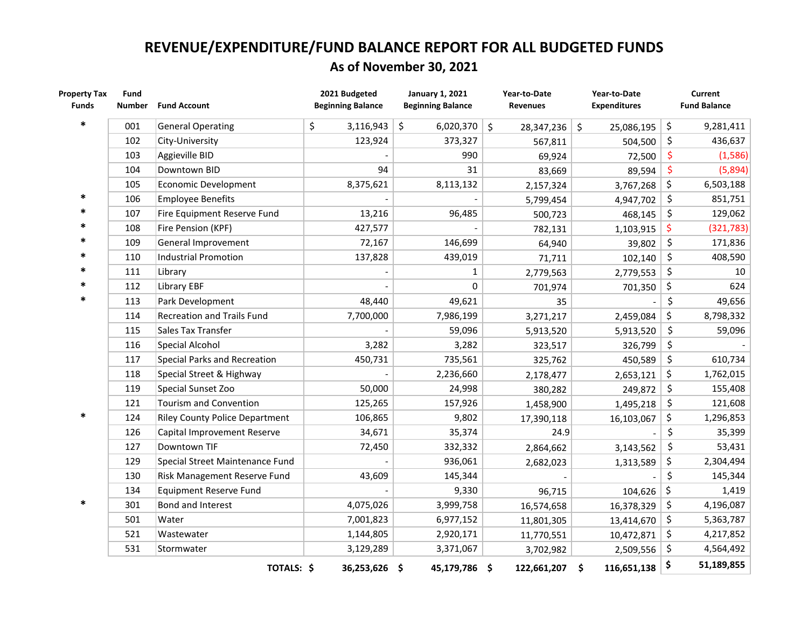## **REVENUE/EXPENDITURE/FUND BALANCE REPORT FOR ALL BUDGETED FUNDS As of November 30, 2021**

| <b>Property Tax</b><br><b>Funds</b> | Fund<br><b>Number</b> | <b>Fund Account</b>                   | 2021 Budgeted<br><b>Beginning Balance</b> | <b>January 1, 2021</b><br><b>Beginning Balance</b> | Year-to-Date<br><b>Revenues</b> | Year-to-Date<br><b>Expenditures</b> | Current<br><b>Fund Balance</b> |
|-------------------------------------|-----------------------|---------------------------------------|-------------------------------------------|----------------------------------------------------|---------------------------------|-------------------------------------|--------------------------------|
|                                     |                       |                                       |                                           |                                                    |                                 |                                     |                                |
| $\ast$                              | 001                   | <b>General Operating</b>              | 3,116,943<br>\$                           | \$<br>6,020,370                                    | \$<br>28,347,236                | $\ddot{\mathsf{S}}$<br>25,086,195   | \$<br>9,281,411                |
|                                     | 102                   | City-University                       | 123,924                                   | 373,327                                            | 567,811                         | 504,500                             | \$<br>436,637                  |
|                                     | 103                   | Aggieville BID                        |                                           | 990                                                | 69,924                          | 72,500                              | \$<br>(1,586)                  |
|                                     | 104                   | Downtown BID                          | 94                                        | 31                                                 | 83,669                          | 89,594                              | \$<br>(5,894)                  |
|                                     | 105                   | Economic Development                  | 8,375,621                                 | 8,113,132                                          | 2,157,324                       | 3,767,268                           | \$<br>6,503,188                |
| $\ast$                              | 106                   | <b>Employee Benefits</b>              |                                           |                                                    | 5,799,454                       | 4,947,702                           | \$<br>851,751                  |
| $\ast$                              | 107                   | Fire Equipment Reserve Fund           | 13,216                                    | 96,485                                             | 500,723                         | 468,145                             | \$<br>129,062                  |
|                                     | 108                   | Fire Pension (KPF)                    | 427,577                                   |                                                    | 782,131                         | 1,103,915                           | \$<br>(321, 783)               |
|                                     | 109                   | General Improvement                   | 72,167                                    | 146,699                                            | 64,940                          | 39,802                              | \$<br>171,836                  |
| $\ast$                              | 110                   | <b>Industrial Promotion</b>           | 137,828                                   | 439,019                                            | 71,711                          | 102,140                             | \$<br>408,590                  |
| *                                   | 111                   | Library                               |                                           | $\mathbf{1}$                                       | 2,779,563                       | 2,779,553                           | \$<br>10 <sup>°</sup>          |
| *                                   | 112                   | <b>Library EBF</b>                    |                                           | 0                                                  | 701,974                         | 701,350                             | \$<br>624                      |
| $\ast$                              | 113                   | Park Development                      | 48,440                                    | 49,621                                             | 35                              |                                     | \$<br>49,656                   |
|                                     | 114                   | <b>Recreation and Trails Fund</b>     | 7,700,000                                 | 7,986,199                                          | 3,271,217                       | 2,459,084                           | \$<br>8,798,332                |
|                                     | 115                   | Sales Tax Transfer                    |                                           | 59,096                                             | 5,913,520                       | 5,913,520                           | \$<br>59,096                   |
|                                     | 116                   | Special Alcohol                       | 3,282                                     | 3,282                                              | 323,517                         | 326,799                             | \$                             |
|                                     | 117                   | Special Parks and Recreation          | 450,731                                   | 735,561                                            | 325,762                         | 450,589                             | \$<br>610,734                  |
|                                     | 118                   | Special Street & Highway              |                                           | 2,236,660                                          | 2,178,477                       | 2,653,121                           | \$<br>1,762,015                |
|                                     | 119                   | Special Sunset Zoo                    | 50,000                                    | 24,998                                             | 380,282                         | 249,872                             | \$<br>155,408                  |
|                                     | 121                   | Tourism and Convention                | 125,265                                   | 157,926                                            | 1,458,900                       | 1,495,218                           | \$<br>121,608                  |
| $\ast$                              | 124                   | <b>Riley County Police Department</b> | 106,865                                   | 9,802                                              | 17,390,118                      | 16,103,067                          | \$<br>1,296,853                |
|                                     | 126                   | Capital Improvement Reserve           | 34,671                                    | 35,374                                             | 24.9                            |                                     | \$<br>35,399                   |
|                                     | 127                   | Downtown TIF                          | 72,450                                    | 332,332                                            | 2,864,662                       | 3,143,562                           | \$<br>53,431                   |
|                                     | 129                   | Special Street Maintenance Fund       |                                           | 936,061                                            | 2,682,023                       | 1,313,589                           | \$<br>2,304,494                |
|                                     | 130                   | Risk Management Reserve Fund          | 43,609                                    | 145,344                                            |                                 |                                     | \$<br>145,344                  |
|                                     | 134                   | <b>Equipment Reserve Fund</b>         |                                           | 9,330                                              | 96,715                          | 104,626                             | \$<br>1,419                    |
| $\ast$                              | 301                   | Bond and Interest                     | 4,075,026                                 | 3,999,758                                          | 16,574,658                      | 16,378,329                          | \$<br>4,196,087                |
|                                     | 501                   | Water                                 | 7,001,823                                 | 6,977,152                                          | 11,801,305                      | 13,414,670                          | \$<br>5,363,787                |
|                                     | 521                   | Wastewater                            | 1,144,805                                 | 2,920,171                                          | 11,770,551                      | 10,472,871                          | \$<br>4,217,852                |
|                                     | 531                   | Stormwater                            | 3,129,289                                 | 3,371,067                                          | 3,702,982                       | 2,509,556                           | \$<br>4,564,492                |
|                                     |                       | TOTALS: \$                            | 36,253,626 \$                             | 45,179,786 \$                                      | 122,661,207                     | 116,651,138<br>Ŝ.                   | \$<br>51,189,855               |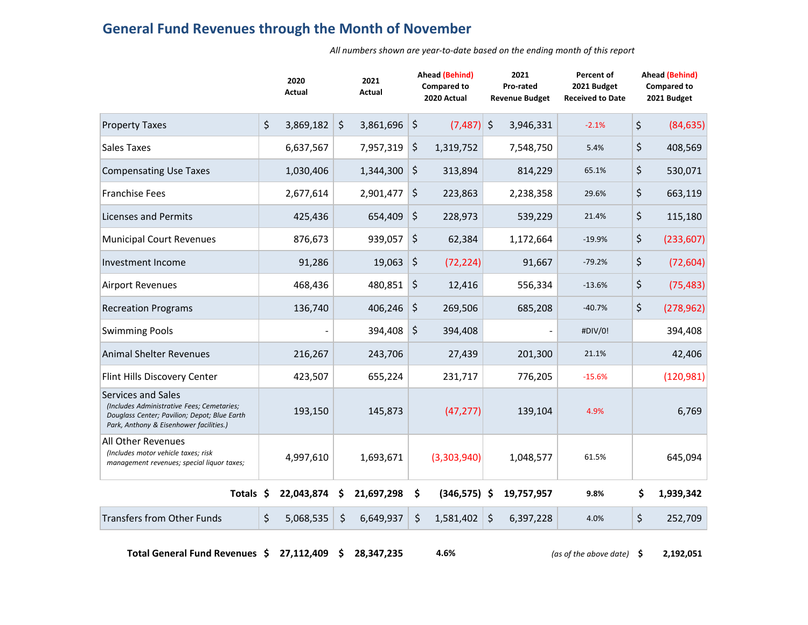### **General Fund Revenues through the Month of November**

*All numbers shown are year‐to‐date based on the ending month of this report*

|                                                                                                                                                             | 2020<br>Actual  |         | 2021<br><b>Actual</b> |              | <b>Ahead (Behind)</b><br><b>Compared to</b><br>2020 Actual |           | 2021<br>Pro-rated<br><b>Revenue Budget</b> | Percent of<br>2021 Budget<br><b>Received to Date</b> | <b>Ahead (Behind)</b><br><b>Compared to</b><br>2021 Budget |  |  |
|-------------------------------------------------------------------------------------------------------------------------------------------------------------|-----------------|---------|-----------------------|--------------|------------------------------------------------------------|-----------|--------------------------------------------|------------------------------------------------------|------------------------------------------------------------|--|--|
| <b>Property Taxes</b>                                                                                                                                       | \$<br>3,869,182 | $\zeta$ | 3,861,696             | \$           | (7, 487)                                                   | $\zeta$   | 3,946,331                                  | $-2.1%$                                              | \$<br>(84, 635)                                            |  |  |
| <b>Sales Taxes</b>                                                                                                                                          | 6,637,567       |         | 7,957,319             | \$           | 1,319,752                                                  |           | 7,548,750                                  | 5.4%                                                 | \$<br>408,569                                              |  |  |
| <b>Compensating Use Taxes</b>                                                                                                                               | 1,030,406       |         | 1,344,300             | \$           | 313,894                                                    |           | 814,229                                    | 65.1%                                                | \$<br>530,071                                              |  |  |
| Franchise Fees                                                                                                                                              | 2,677,614       |         | 2,901,477             | \$           | 223,863                                                    |           | 2,238,358                                  | 29.6%                                                | \$<br>663,119                                              |  |  |
| <b>Licenses and Permits</b>                                                                                                                                 | 425,436         |         | 654,409               | \$           | 228,973                                                    |           | 539,229                                    | 21.4%                                                | \$<br>115,180                                              |  |  |
| <b>Municipal Court Revenues</b>                                                                                                                             | 876,673         | 939,057 |                       | \$<br>62,384 |                                                            | 1,172,664 |                                            | $-19.9%$                                             | \$<br>(233, 607)                                           |  |  |
| Investment Income                                                                                                                                           | 91,286          |         | 19,063                | \$           | (72, 224)                                                  |           | 91,667                                     | $-79.2%$                                             | \$<br>(72, 604)                                            |  |  |
| <b>Airport Revenues</b>                                                                                                                                     | 468,436         |         | 480,851               | \$           | 12,416                                                     |           | 556,334                                    | $-13.6%$                                             | \$<br>(75, 483)                                            |  |  |
| <b>Recreation Programs</b>                                                                                                                                  | 136,740         |         | 406,246               | \$           | 269,506                                                    |           | 685,208                                    | $-40.7%$                                             | \$<br>(278, 962)                                           |  |  |
| <b>Swimming Pools</b>                                                                                                                                       |                 |         | 394,408               | \$           | 394,408                                                    |           |                                            | #DIV/0!                                              | 394,408                                                    |  |  |
| <b>Animal Shelter Revenues</b>                                                                                                                              | 216,267         |         | 243,706               |              | 27,439                                                     |           | 201,300                                    | 21.1%                                                | 42,406                                                     |  |  |
| Flint Hills Discovery Center                                                                                                                                | 423,507         |         | 655,224               |              | 231,717                                                    |           | 776,205                                    | $-15.6%$                                             | (120, 981)                                                 |  |  |
| Services and Sales<br>(Includes Administrative Fees; Cemetaries;<br>Douglass Center; Pavilion; Depot; Blue Earth<br>Park, Anthony & Eisenhower facilities.) | 193,150         |         | 145,873               |              | (47, 277)                                                  |           | 139,104                                    | 4.9%                                                 | 6,769                                                      |  |  |
| All Other Revenues<br>(Includes motor vehicle taxes; risk<br>management revenues; special liquor taxes;                                                     | 4,997,610       |         | 1,693,671             |              | (3,303,940)                                                |           | 1,048,577                                  | 61.5%                                                | 645,094                                                    |  |  |
| Totals \$                                                                                                                                                   | 22,043,874      | S       | 21,697,298            | S            | $(346,575)$ \$                                             |           | 19,757,957                                 | 9.8%                                                 | \$<br>1,939,342                                            |  |  |
| <b>Transfers from Other Funds</b>                                                                                                                           | \$<br>5,068,535 | \$      | 6,649,937             | \$           | 1,581,402                                                  | \$        | 6,397,228                                  | 4.0%                                                 | \$<br>252,709                                              |  |  |

**Total General Fund Revenues 27,112,409 \$ \$ 28,347,235 4.6%** *(as of the above date)* **\$ 2,192,051**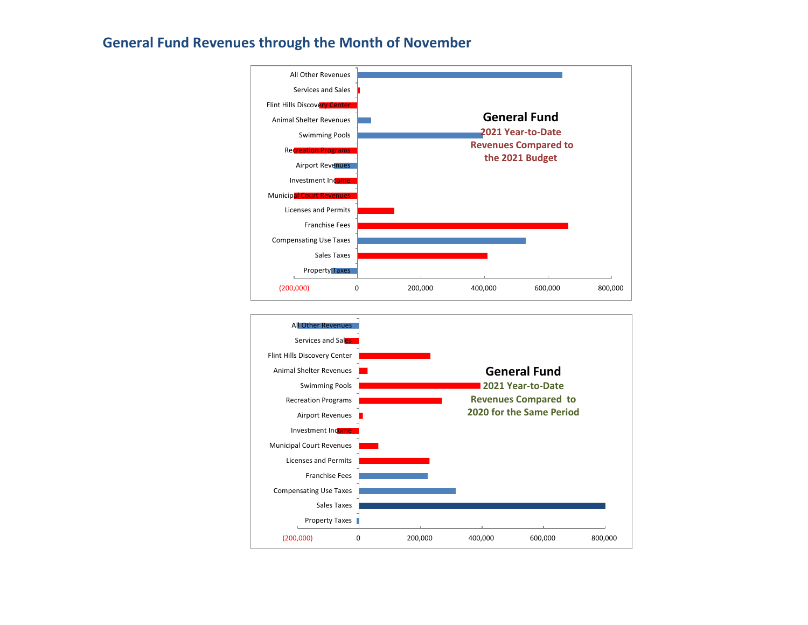### **General Fund Revenues through the Month of November**



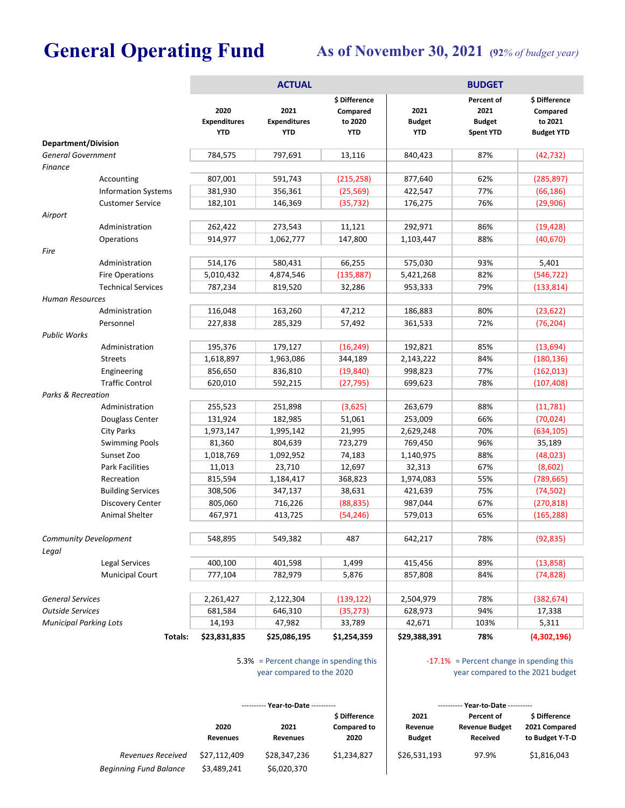# General Operating Fund As of November 30, 2021 (92% of budget year)

|                                |                                                     |                    | <b>ACTUAL</b>                             |                                                    | <b>BUDGET</b>                       |                                                         |                                                           |  |  |  |  |  |
|--------------------------------|-----------------------------------------------------|--------------------|-------------------------------------------|----------------------------------------------------|-------------------------------------|---------------------------------------------------------|-----------------------------------------------------------|--|--|--|--|--|
|                                | <b>Department/Division</b>                          |                    | 2021<br><b>Expenditures</b><br><b>YTD</b> | \$ Difference<br>Compared<br>to 2020<br><b>YTD</b> | 2021<br><b>Budget</b><br><b>YTD</b> | Percent of<br>2021<br><b>Budget</b><br><b>Spent YTD</b> | \$ Difference<br>Compared<br>to 2021<br><b>Budget YTD</b> |  |  |  |  |  |
| <b>General Government</b>      |                                                     | 784,575            | 797,691                                   | 13,116                                             | 840,423                             | 87%                                                     |                                                           |  |  |  |  |  |
| <b>Finance</b>                 |                                                     |                    |                                           |                                                    |                                     |                                                         | (42, 732)                                                 |  |  |  |  |  |
|                                | Accounting                                          | 807,001            | 591,743                                   | (215, 258)                                         | 877,640                             | 62%                                                     | (285, 897)                                                |  |  |  |  |  |
|                                | <b>Information Systems</b>                          | 381,930            | 356,361                                   | (25, 569)                                          | 422,547                             | 77%                                                     | (66, 186)                                                 |  |  |  |  |  |
|                                | <b>Customer Service</b>                             | 182,101            | 146,369                                   | (35, 732)                                          | 176,275                             | 76%                                                     | (29, 906)                                                 |  |  |  |  |  |
| Airport                        |                                                     |                    |                                           |                                                    |                                     |                                                         |                                                           |  |  |  |  |  |
|                                | Administration                                      | 262,422            | 273,543                                   | 11,121                                             | 292,971                             | 86%                                                     | (19, 428)                                                 |  |  |  |  |  |
|                                | Operations                                          | 914,977            | 1,062,777                                 | 147,800                                            | 1,103,447                           | 88%                                                     | (40,670)                                                  |  |  |  |  |  |
| Fire                           |                                                     |                    |                                           |                                                    |                                     |                                                         |                                                           |  |  |  |  |  |
|                                | Administration                                      | 514,176            | 580,431                                   | 66,255                                             | 575,030                             | 93%                                                     | 5,401                                                     |  |  |  |  |  |
|                                | <b>Fire Operations</b>                              | 5,010,432          | 4,874,546                                 | (135, 887)                                         | 5,421,268                           | 82%                                                     | (546, 722)                                                |  |  |  |  |  |
|                                | <b>Technical Services</b>                           | 787,234            | 819,520                                   | 32,286                                             | 953,333                             | 79%                                                     | (133, 814)                                                |  |  |  |  |  |
| <b>Human Resources</b>         |                                                     |                    |                                           |                                                    |                                     |                                                         |                                                           |  |  |  |  |  |
|                                | Administration                                      | 116,048            | 163,260                                   | 47,212                                             | 186,883                             | 80%                                                     | (23, 622)                                                 |  |  |  |  |  |
|                                | Personnel                                           | 227,838            | 285,329                                   | 57,492                                             | 361,533                             | 72%                                                     | (76, 204)                                                 |  |  |  |  |  |
| <b>Public Works</b>            |                                                     |                    |                                           |                                                    |                                     |                                                         |                                                           |  |  |  |  |  |
|                                | Administration                                      | 195,376            | 179,127                                   | (16, 249)                                          | 192,821                             | 85%                                                     | (13, 694)                                                 |  |  |  |  |  |
|                                | <b>Streets</b>                                      | 1,618,897          | 1,963,086                                 | 344,189                                            | 2,143,222                           | 84%                                                     | (180, 136)                                                |  |  |  |  |  |
|                                | Engineering                                         | 856,650            | 836,810                                   | (19, 840)                                          | 998,823                             | 77%                                                     | (162, 013)                                                |  |  |  |  |  |
| <b>Traffic Control</b>         |                                                     | 620,010            | 592,215                                   | (27, 795)                                          | 699,623                             | 78%                                                     | (107, 408)                                                |  |  |  |  |  |
| <b>Parks &amp; Recreation</b>  |                                                     |                    |                                           |                                                    |                                     |                                                         |                                                           |  |  |  |  |  |
|                                | Administration                                      | 255,523            | 251,898                                   | (3,625)                                            | 263,679                             | 88%                                                     | (11,781)                                                  |  |  |  |  |  |
|                                | Douglass Center                                     | 131,924            | 182,985                                   | 51,061                                             | 253,009                             | 66%                                                     | (70, 024)                                                 |  |  |  |  |  |
|                                | City Parks                                          | 1,973,147          | 1,995,142                                 | 21,995                                             | 2,629,248                           | 70%                                                     | (634, 105)                                                |  |  |  |  |  |
|                                | <b>Swimming Pools</b>                               | 81,360             | 804,639                                   | 723,279                                            | 769,450                             | 96%                                                     | 35,189                                                    |  |  |  |  |  |
|                                | Sunset Zoo                                          | 1,018,769          | 1,092,952                                 | 74,183                                             | 1,140,975                           | 88%                                                     | (48, 023)                                                 |  |  |  |  |  |
|                                | <b>Park Facilities</b>                              | 11,013             | 23,710                                    | 12,697                                             | 32,313                              | 67%                                                     | (8,602)                                                   |  |  |  |  |  |
|                                | Recreation                                          | 815,594<br>308,506 | 1,184,417<br>347,137                      | 368,823                                            | 1,974,083<br>421,639                | 55%<br>75%                                              | (789, 665)                                                |  |  |  |  |  |
|                                | <b>Building Services</b><br><b>Discovery Center</b> | 805,060            | 716,226                                   | 38,631<br>(88, 835)                                | 987,044                             | 67%                                                     | (74, 502)                                                 |  |  |  |  |  |
|                                | Animal Shelter                                      | 467,971            | 413,725                                   | (54, 246)                                          | 579,013                             | 65%                                                     | (270, 818)<br>(165, 288)                                  |  |  |  |  |  |
|                                |                                                     |                    |                                           |                                                    |                                     |                                                         |                                                           |  |  |  |  |  |
| Community Development<br>Legal |                                                     | 548,895            | 549,382                                   | 487                                                | 642,217                             | 78%                                                     | (92,835)                                                  |  |  |  |  |  |
|                                | Legal Services                                      | 400,100            | 401,598                                   | 1,499                                              | 415,456                             | 89%                                                     | (13, 858)                                                 |  |  |  |  |  |
| <b>Municipal Court</b>         |                                                     | 777,104            | 782,979                                   | 5,876                                              | 857,808                             | 84%                                                     | (74, 828)                                                 |  |  |  |  |  |
|                                |                                                     |                    |                                           |                                                    |                                     |                                                         |                                                           |  |  |  |  |  |
| <b>General Services</b>        |                                                     | 2,261,427          | 2,122,304                                 | (139, 122)                                         | 2,504,979                           | 78%                                                     | (382, 674)                                                |  |  |  |  |  |
| <b>Outside Services</b>        |                                                     | 681,584            | 646,310                                   | (35, 273)                                          | 628,973                             | 94%                                                     | 17,338                                                    |  |  |  |  |  |
| <b>Municipal Parking Lots</b>  |                                                     | 14,193             | 47,982                                    | 33,789                                             | 42,671                              | 103%                                                    | 5,311                                                     |  |  |  |  |  |
|                                | Totals:                                             | \$23,831,835       | \$25,086,195                              | \$1,254,359                                        | \$29,388,391                        | 78%                                                     | (4,302,196)                                               |  |  |  |  |  |
|                                |                                                     |                    |                                           |                                                    |                                     |                                                         |                                                           |  |  |  |  |  |

5.3% = Percent change in spending this | The 17.1% year compared to the 2020

 $-17.1\%$  = Percent change in spending this year compared to the 2021 budget

|                               |                         | ---------- Year-to-Date ---------- |                                             |                                  | ---------- Year-to-Date ----------                            |                                                         |  |  |
|-------------------------------|-------------------------|------------------------------------|---------------------------------------------|----------------------------------|---------------------------------------------------------------|---------------------------------------------------------|--|--|
|                               | 2020<br><b>Revenues</b> | 2021<br><b>Revenues</b>            | \$ Difference<br><b>Compared to</b><br>2020 | 2021<br>Revenue<br><b>Budget</b> | <b>Percent of</b><br><b>Revenue Budget</b><br><b>Received</b> | <b>S</b> Difference<br>2021 Compared<br>to Budget Y-T-D |  |  |
| Revenues Received             | \$27.112.409            | \$28,347,236                       | \$1,234,827                                 | \$26,531,193                     | 97.9%                                                         | \$1,816,043                                             |  |  |
| <b>Beginning Fund Balance</b> | \$3,489,241             | \$6,020,370                        |                                             |                                  |                                                               |                                                         |  |  |